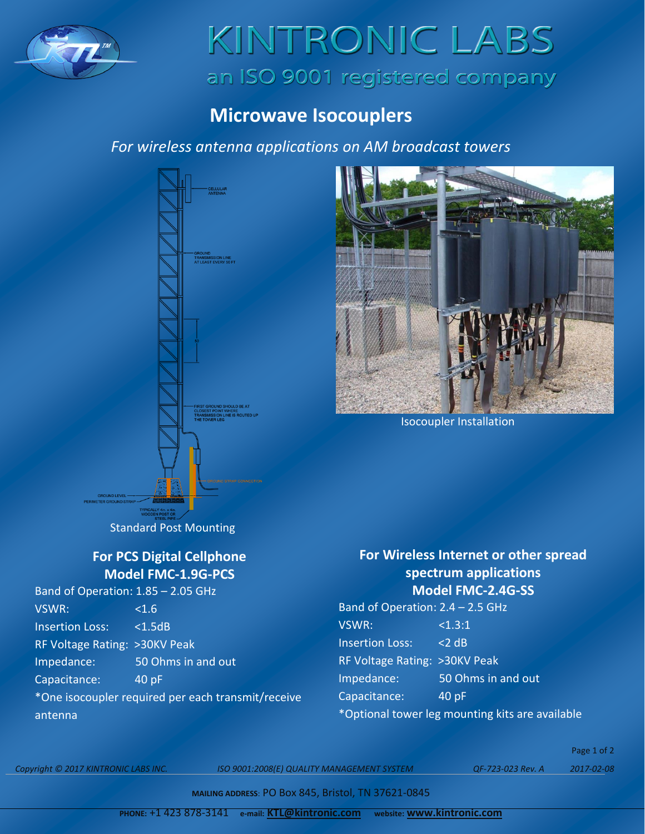

# KINTRONIC LABS an ISO 9001 registered company

## **Microwave Isocouplers**

### *For wireless antenna applications on AM broadcast towers*





Isocoupler Installation

## Standard Post Mounting

#### **For PCS Digital Cellphone Model FMC-1.9G-PCS**

| Band of Operation: 1.85 - 2.05 GHz                 |                    |
|----------------------------------------------------|--------------------|
| VSWR:                                              | < 1.6              |
| <b>Insertion Loss:</b>                             | $<$ 1.5dB          |
| RF Voltage Rating: >30KV Peak                      |                    |
| Impedance:                                         | 50 Ohms in and out |
| Capacitance:                                       | 40 pF              |
| *One isocoupler required per each transmit/receive |                    |
| antenna                                            |                    |

#### **For Wireless Internet or other spread spectrum applications Model FMC-2.4G-SS**

Band of Operation: 2.4 – 2.5 GHz VSWR: <1.3:1 Insertion Loss: <2 dB RF Voltage Rating: >30KV Peak Impedance: 50 Ohms in and out Capacitance: 40 pF \*Optional tower leg mounting kits are available

*Copyright © 2017 KINTRONIC LABS INC. ISO 9001:2008(E) QUALITY MANAGEMENT SYSTEM QF-723-023 Rev. A 2017-02-08*

Page 1 of 2

**MAILING ADDRESS**: PO Box 845, Bristol, TN 37621-0845